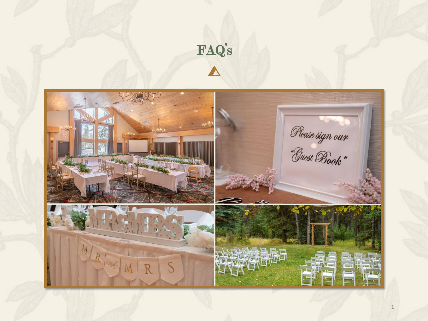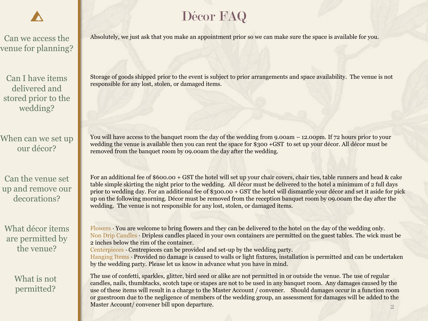Can we access the venue for planning?

Can I have items delivered and stored prior to the wedding?

When can we set up our décor?

Can the venue set up and remove our decorations?

What décor items are permitted by the venue?

> What is not permitted?

## Décor FAQ

Absolutely, we just ask that you make an appointment prior so we can make sure the space is available for you.

Storage of goods shipped prior to the event is subject to prior arrangements and space availability. The venue is not responsible for any lost, stolen, or damaged items.

You will have access to the banquet room the day of the wedding from 9.00am – 12.00pm. If 72 hours prior to your wedding the venue is available then you can rent the space for \$300 +GST to set up your décor. All décor must be removed from the banquet room by 09.00am the day after the wedding.

For an additional fee of \$600.00 + GST the hotel will set up your chair covers, chair ties, table runners and head & cake table simple skirting the night prior to the wedding. All décor must be delivered to the hotel a minimum of 2 full days prior to wedding day. For an additional fee of \$300.00 + GST the hotel will dismantle your décor and set it aside for pick up on the following morning. Décor must be removed from the reception banquet room by 09.00am the day after the wedding. The venue is not responsible for any lost, stolen, or damaged items.

Flowers · You are welcome to bring flowers and they can be delivered to the hotel on the day of the wedding only. Non Drip Candles · Dripless candles placed in your own containers are permitted on the guest tables. The wick must be 2 inches below the rim of the container.

Centerpieces · Centrepieces can be provided and set-up by the wedding party. Hanging Items · Provided no damage is caused to walls or light fixtures, installation is permitted and can be undertaken by the wedding party. Please let us know in advance what you have in mind.

The use of confetti, sparkles, glitter, bird seed or alike are not permitted in or outside the venue. The use of regular candles, nails, thumbtacks, scotch tape or stapes are not to be used in any banquet room. Any damages caused by the use of these items will result in a charge to the Master Account / convener. Should damages occur in a function room or guestroom due to the negligence of members of the wedding group, an assessment for damages will be added to the Master Account/ convener bill upon departure.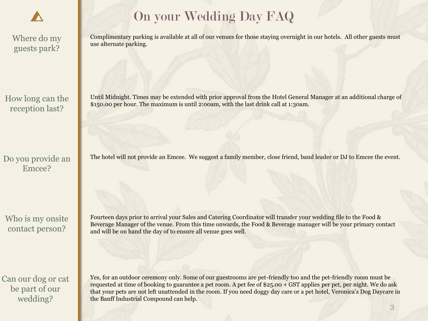

Where do my guests park?

How long can the reception last?

Do you provide an Emcee?

Who is my onsite contact person?

Can our dog or cat be part of our wedding?

## On your Wedding Day FAQ

Complimentary parking is available at all of our venues for those staying overnight in our hotels. All other guests must use alternate parking.

Until Midnight. Times may be extended with prior approval from the Hotel General Manager at an additional charge of \$150.00 per hour. The maximum is until 2:00am, with the last drink call at 1:30am.

The hotel will not provide an Emcee. We suggest a family member, close friend, band leader or DJ to Emcee the event.

Fourteen days prior to arrival your Sales and Catering Coordinator will transfer your wedding file to the Food & Beverage Manager of the venue. From this time onwards, the Food & Beverage manager will be your primary contact and will be on hand the day of to ensure all venue goes well.

Yes, for an outdoor ceremony only. Some of our guestrooms are pet-friendly too and the pet-friendly room must be requested at time of booking to guarantee a pet room. A pet fee of \$25.00 + GST applies per pet, per night. We do ask that your pets are not left unattended in the room. If you need doggy day care or a pet hotel, Veronica's Dog Daycare in the Banff Industrial Compound can help.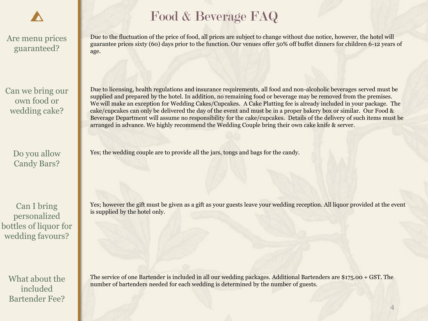

Are menu prices guaranteed?

Can we bring our own food or wedding cake?

> Do you allow Candy Bars?

Can I bring personalized bottles of liquor for wedding favours?

What about the included Bartender Fee?

## Food & Beverage FAQ

Due to the fluctuation of the price of food, all prices are subject to change without due notice, however, the hotel will guarantee prices sixty (60) days prior to the function. Our venues offer 50% off buffet dinners for children 6-12 years of age.

Due to licensing, health regulations and insurance requirements, all food and non-alcoholic beverages served must be supplied and prepared by the hotel. In addition, no remaining food or beverage may be removed from the premises. We will make an exception for Wedding Cakes/Cupcakes. A Cake Platting fee is already included in your package. The cake/cupcakes can only be delivered the day of the event and must be in a proper bakery box or similar. Our Food & Beverage Department will assume no responsibility for the cake/cupcakes. Details of the delivery of such items must be arranged in advance. We highly recommend the Wedding Couple bring their own cake knife & server.

Yes; the wedding couple are to provide all the jars, tongs and bags for the candy.

Yes; however the gift must be given as a gift as your guests leave your wedding reception. All liquor provided at the event is supplied by the hotel only.

The service of one Bartender is included in all our wedding packages. Additional Bartenders are \$175.00 + GST. The number of bartenders needed for each wedding is determined by the number of guests.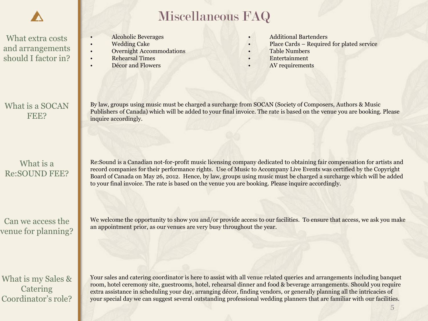## Miscellaneous FAQ

What extra costs and arrangements should I factor in?

## What is a SOCAN FEE?

### What is a Re:SOUND FEE?

Can we access the venue for planning?

What is my Sales & **Catering** Coordinator's role?

- Alcoholic Beverages
- Wedding Cake
- **Overnight Accommodations**
- Rehearsal Times
- Décor and Flowers
- Additional Bartenders
- Place Cards Required for plated service
- Table Numbers
- Entertainment
	- AV requirements

By law, groups using music must be charged a surcharge from SOCAN (Society of Composers, Authors & Music Publishers of Canada) which will be added to your final invoice. The rate is based on the venue you are booking. Please inquire accordingly.

Re:Sound is a Canadian not-for-profit music licensing company dedicated to obtaining fair compensation for artists and record companies for their performance rights. Use of Music to Accompany Live Events was certified by the Copyright Board of Canada on May 26, 2012. Hence, by law, groups using music must be charged a surcharge which will be added to your final invoice. The rate is based on the venue you are booking. Please inquire accordingly.

We welcome the opportunity to show you and/or provide access to our facilities. To ensure that access, we ask you make an appointment prior, as our venues are very busy throughout the year.

Your sales and catering coordinator is here to assist with all venue related queries and arrangements including banquet room, hotel ceremony site, guestrooms, hotel, rehearsal dinner and food & beverage arrangements. Should you require extra assistance in scheduling your day, arranging décor, finding vendors, or generally planning all the intricacies of your special day we can suggest several outstanding professional wedding planners that are familiar with our facilities.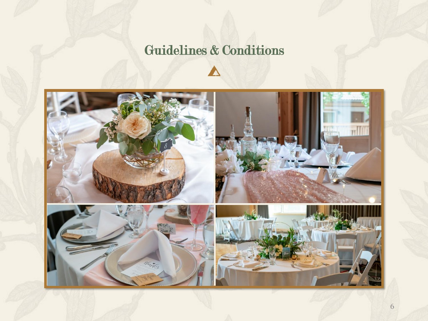# Guidelines & Conditions

A